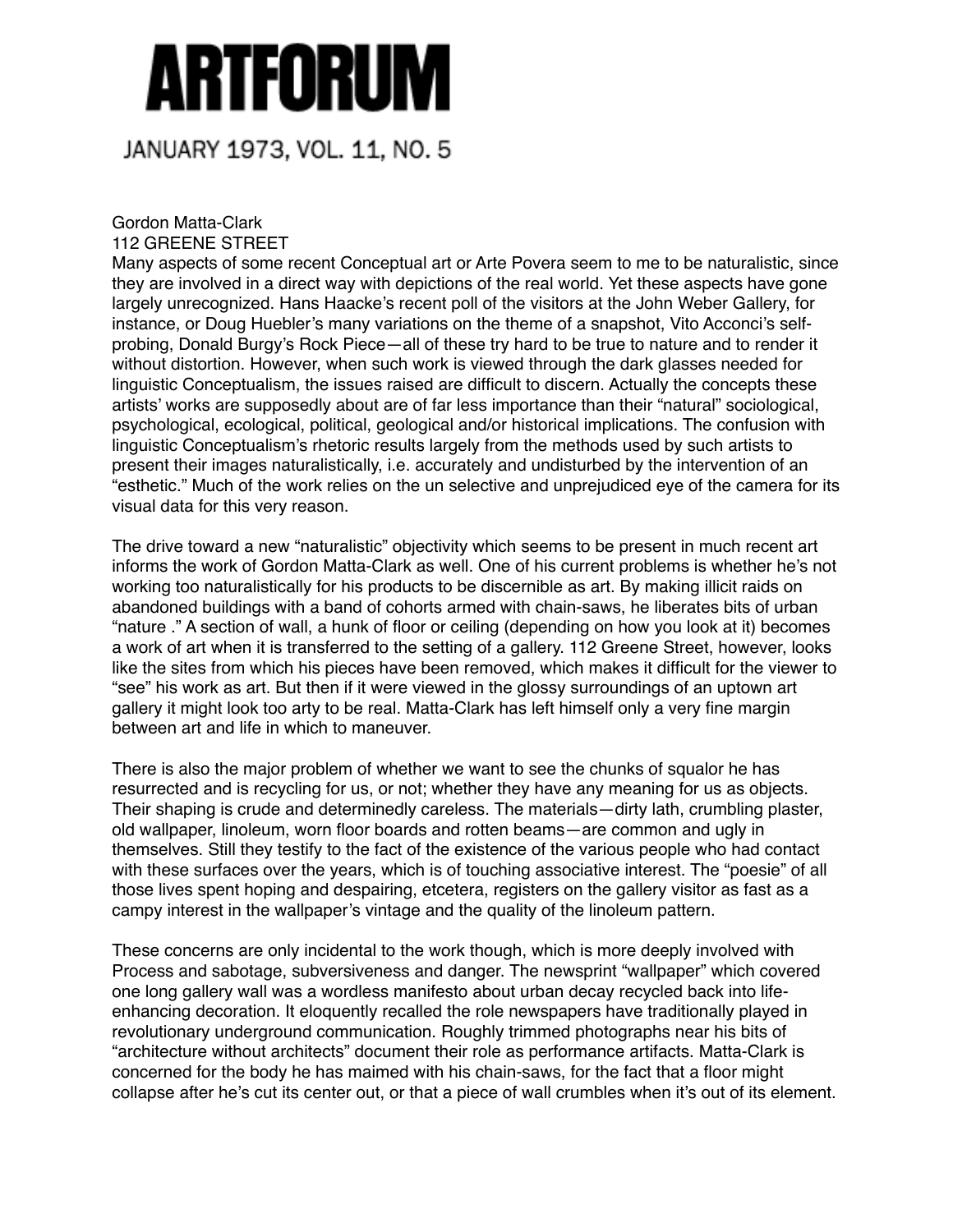## Artforum

## JANUARY 1973, VOL. 11, NO. 5

## Gordon Matta-Clark 112 GREENE STREET

Many aspects of some recent Conceptual art or Arte Povera seem to me to be naturalistic, since they are involved in a direct way with depictions of the real world. Yet these aspects have gone largely unrecognized. Hans Haacke's recent poll of the visitors at the John Weber Gallery, for instance, or Doug Huebler's many variations on the theme of a snapshot, Vito Acconci's selfprobing, Donald Burgy's Rock Piece—all of these try hard to be true to nature and to render it without distortion. However, when such work is viewed through the dark glasses needed for linguistic Conceptualism, the issues raised are difficult to discern. Actually the concepts these artists' works are supposedly about are of far less importance than their "natural" sociological, psychological, ecological, political, geological and/or historical implications. The confusion with linguistic Conceptualism's rhetoric results largely from the methods used by such artists to present their images naturalistically, i.e. accurately and undisturbed by the intervention of an "esthetic." Much of the work relies on the un selective and unprejudiced eye of the camera for its visual data for this very reason.

The drive toward a new "naturalistic" objectivity which seems to be present in much recent art informs the work of Gordon Matta-Clark as well. One of his current problems is whether he's not working too naturalistically for his products to be discernible as art. By making illicit raids on abandoned buildings with a band of cohorts armed with chain-saws, he liberates bits of urban "nature ." A section of wall, a hunk of floor or ceiling (depending on how you look at it) becomes a work of art when it is transferred to the setting of a gallery. 112 Greene Street, however, looks like the sites from which his pieces have been removed, which makes it difficult for the viewer to "see" his work as art. But then if it were viewed in the glossy surroundings of an uptown art gallery it might look too arty to be real. Matta-Clark has left himself only a very fine margin between art and life in which to maneuver.

There is also the major problem of whether we want to see the chunks of squalor he has resurrected and is recycling for us, or not; whether they have any meaning for us as objects. Their shaping is crude and determinedly careless. The materials—dirty lath, crumbling plaster, old wallpaper, linoleum, worn floor boards and rotten beams—are common and ugly in themselves. Still they testify to the fact of the existence of the various people who had contact with these surfaces over the years, which is of touching associative interest. The "poesie" of all those lives spent hoping and despairing, etcetera, registers on the gallery visitor as fast as a campy interest in the wallpaper's vintage and the quality of the linoleum pattern.

These concerns are only incidental to the work though, which is more deeply involved with Process and sabotage, subversiveness and danger. The newsprint "wallpaper" which covered one long gallery wall was a wordless manifesto about urban decay recycled back into lifeenhancing decoration. It eloquently recalled the role newspapers have traditionally played in revolutionary underground communication. Roughly trimmed photographs near his bits of "architecture without architects" document their role as performance artifacts. Matta-Clark is concerned for the body he has maimed with his chain-saws, for the fact that a floor might collapse after he's cut its center out, or that a piece of wall crumbles when it's out of its element.